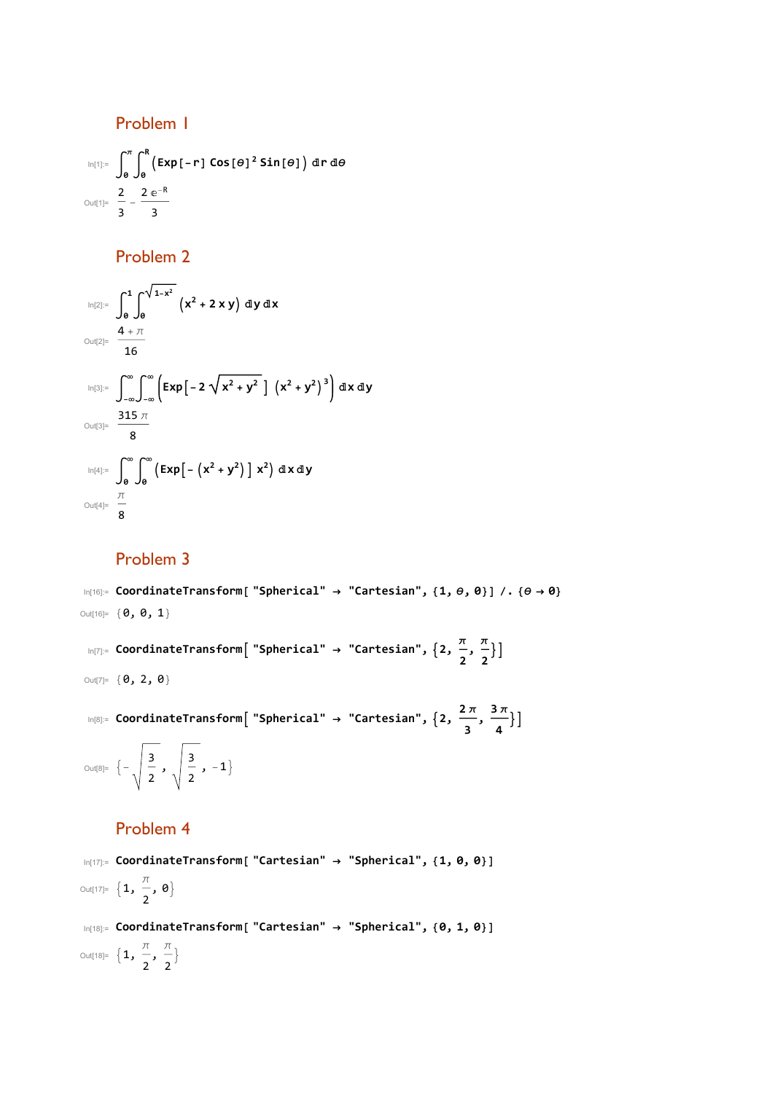Problem 1

$$
\lim_{|n|1|=n} \int_{0}^{\pi} \int_{0}^{R} \left( Exp\left[-r\right] \cos\left[\theta\right]^{2} \sin\left[\theta\right] \right) dr d\theta
$$
\n
$$
\lim_{|n|1|=n} \frac{2}{3} - \frac{2}{3} \frac{e^{-R}}{3}
$$

Problem 2

$$
\lim_{|n[2]:=}\int_{0}^{1}\int_{0}^{\sqrt{1-x^{2}}} (x^{2}+2xy) \,dy\,dx
$$
\n
$$
\lim_{|n[3]:=}\int_{-\infty}^{\infty}\int_{-\infty}^{\infty} \left[ Exp\left[-2\sqrt{x^{2}+y^{2}}\right]\left(x^{2}+y^{2}\right)^{3}\right] dx\,dy
$$
\n
$$
\lim_{|n[4]:=}\frac{315\,\pi}{8}
$$
\n
$$
\lim_{|n[4]:=}\int_{0}^{\infty}\int_{0}^{\infty} \left( Exp\left[-\left(x^{2}+y^{2}\right)\right]x^{2}\right) dx\,dy
$$
\n
$$
\lim_{|n[4]:=}\int_{\frac{\pi}{8}}^{\frac{\pi}{2}}
$$

## Problem 3

In[16]:= **CoordinateTransform[ "Spherical" → "Cartesian", {1, θ, 0}] /. {θ → 0}** Out[16]= {0, 0, 1}

In[7]:= **CoordinateTransform "Spherical" <sup>→</sup> "Cartesian", 2, <sup>π</sup> 2 , π 2** Ħ

Out[7]=  $\{0, 2, 0\}$ 

In[8]:= CoordinateTransform[ "Spherical"  $\rightarrow$  "Cartesian",  $\{2, \frac{2\pi}{3}, \frac{3\pi}{4}\}\$ 

Out[8]=  $\left\{-\sqrt{\frac{3}{2}}, \sqrt{\frac{3}{2}}, -1\right\}$ 

## Problem 4

In[17]:= **CoordinateTransform[ "Cartesian" → "Spherical", {1, 0, 0}]** Out[17]=  $\{1, \frac{\pi}{4}$ 2 , 0 In[18]:= **CoordinateTransform[ "Cartesian" → "Spherical", {0, 1, 0}]** Out[18]=  $\{1, \frac{\pi}{4}\}$ 2  $\frac{\pi}{2}$ 2  $\left\{ \right.$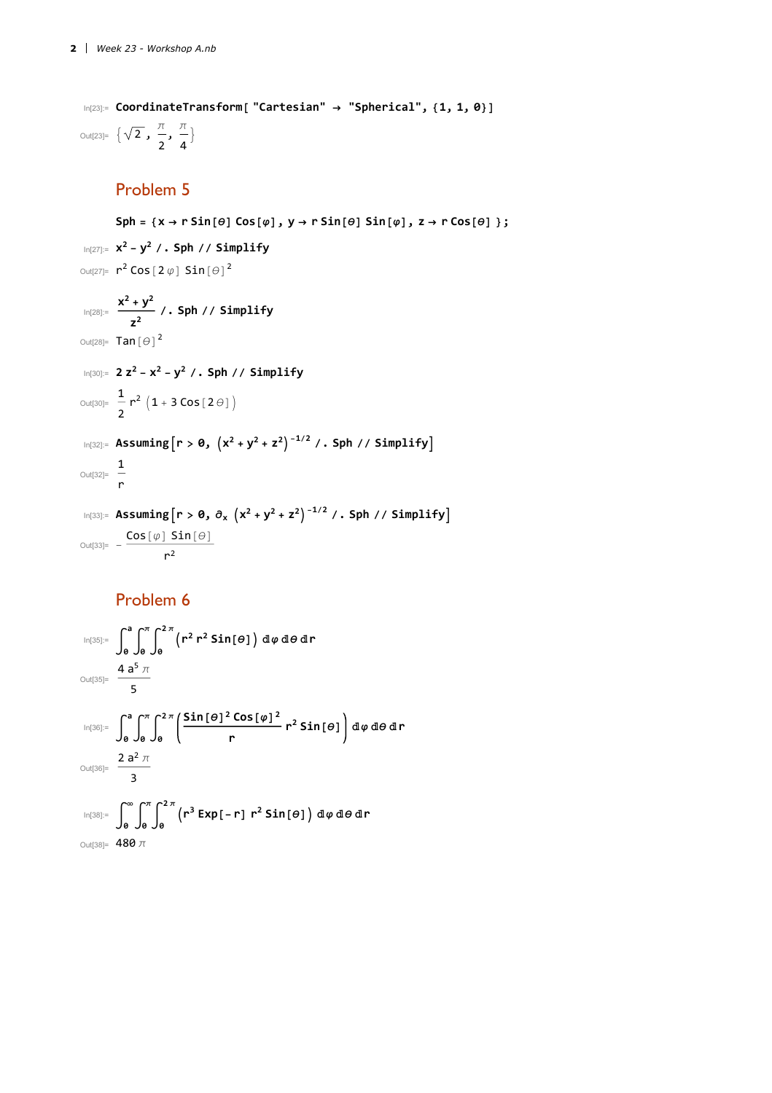```
In[23]:= CoordinateTransform[ "Cartesian" → "Spherical", {1, 1, 0}]
Out[23]= \begin{cases} \sqrt{2} \end{cases}, \frac{\pi}{4}2
                          \frac{\pi}{\sqrt{2}}4
                                 \left\{ \right.
```
#### Problem 5

 $\mathsf{Sph} = \{x \rightarrow r \mathbin{\mathsf{Sin}}[\theta] \mathbin{\mathsf{Cos}}[\phi], y \rightarrow r \mathbin{\mathsf{Sin}}[\theta] \mathbin{\mathsf{Sin}}[\phi], z \rightarrow r \mathbin{\mathsf{Cos}}[\theta] \};$ In[27]:= **x<sup>2</sup> - y<sup>2</sup> /. Sph // Simplify** Out[27]=  $r^2$  Cos  $[2 \varphi]$  Sin $[\theta]^2$  $\frac{x^2 + y^2}{z^2}$  /. Sph // Simplify Out $[28]$ = Tan $[\Theta]$ <sup>2</sup> In[30]:= **2 z<sup>2</sup> - x<sup>2</sup> - y<sup>2</sup> /. Sph // Simplify** Out[30]=  $\frac{1}{-}$ 2  $r^2$   $(1 + 3 \cos[2\theta])$  $\ln[32] :=$  **Assuming** $\left[ r > 0, \left( x^2 + y^2 + z^2 \right) \right]^{-1/2}$  /. Sph // Simplify] Out[32]=  $\frac{1}{2}$ r In[33]:= **Assumingr > 0, ∂<sup>x</sup> x<sup>2</sup> + y<sup>2</sup> + z2-1/<sup>2</sup> /. Sph // Simplify** Out[33]=  $-\frac{\cos[\varphi] \sin[\theta]}{\sin[\theta]}$  $r^2$ 

## Problem 6

$$
\begin{aligned}\n\lim_{|\Omega[35]:=}\n\int_{0}^{a} \int_{0}^{\pi} \int_{0}^{2\pi} \left( r^{2} r^{2} \sin[\theta] \right) d\varphi \, d\theta \, dr \\
\text{Out[35]}&=\n\frac{4 a^{5} \pi}{5} \\
\lim_{|\Omega[36]:=}\n\int_{0}^{a} \int_{0}^{\pi} \int_{0}^{2\pi} \left( \frac{\sin[\theta]^{2} \cos[\varphi]^{2}}{r} r^{2} \sin[\theta] \right) d\varphi \, d\theta \, dr \\
\text{Out[36]}&=\n\frac{2 a^{2} \pi}{3} \\
\lim_{|\Omega[38]:=}\n\int_{0}^{\infty} \int_{0}^{\pi} \int_{0}^{2\pi} \left( r^{3} \exp[-r] r^{2} \sin[\theta] \right) d\varphi \, d\theta \, dr \\
\text{Out[38]}&=\n480 \pi\n\end{aligned}
$$